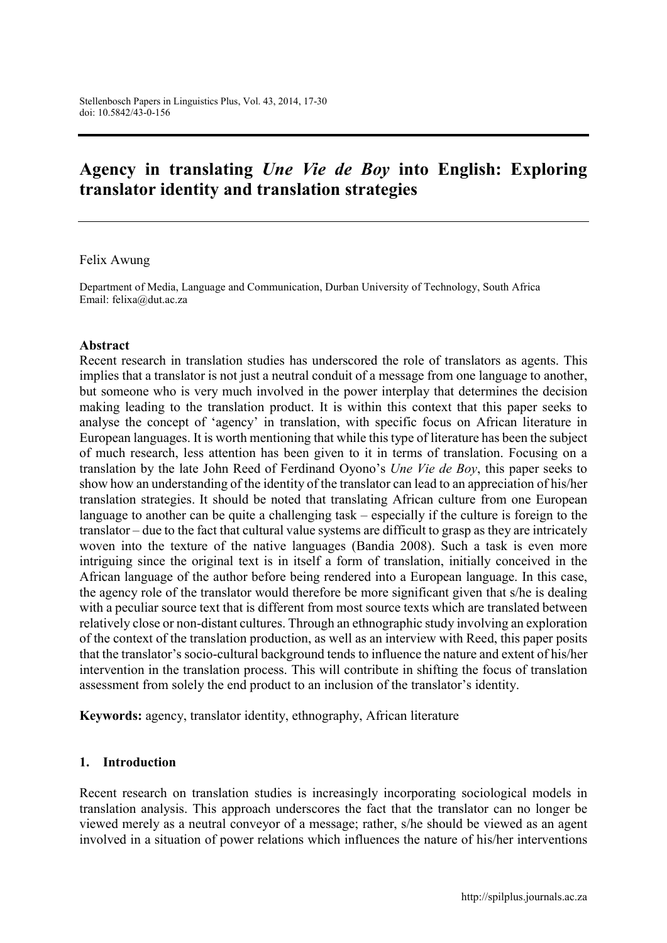# Agency in translating *Une Vie de Boy* into English: Exploring translator identity and translation strategies

#### Felix Awung

Department of Media, Language and Communication, Durban University of Technology, South Africa Email: [felixa@dut.ac.za](mailto:felixa@dut.ac.za)

#### Abstract

Recent research in translation studies has underscored the role of translators as agents. This implies that a translator is not just a neutral conduit of a message from one language to another, but someone who is very much involved in the power interplay that determines the decision making leading to the translation product. It is within this context that this paper seeks to analyse the concept of 'agency' in translation, with specific focus on African literature in European languages. It is worth mentioning that while this type of literature has been the subject of much research, less attention has been given to it in terms of translation. Focusing on a translation by the late John Reed of Ferdinand Oyono's *Une Vie de Boy*, this paper seeks to show how an understanding of the identity of the translator can lead to an appreciation of his/her translation strategies. It should be noted that translating African culture from one European language to another can be quite a challenging task – especially if the culture is foreign to the translator – due to the fact that cultural value systems are difficult to grasp as they are intricately woven into the texture of the native languages (Bandia 2008). Such a task is even more intriguing since the original text is in itself a form of translation, initially conceived in the African language of the author before being rendered into a European language. In this case, the agency role of the translator would therefore be more significant given that s/he is dealing with a peculiar source text that is different from most source texts which are translated between relatively close or non-distant cultures. Through an ethnographic study involving an exploration of the context of the translation production, as well as an interview with Reed, this paper posits that the translator's socio-cultural background tends to influence the nature and extent of his/her intervention in the translation process. This will contribute in shifting the focus of translation assessment from solely the end product to an inclusion of the translator's identity.

Keywords: agency, translator identity, ethnography, African literature

#### 1. Introduction

Recent research on translation studies is increasingly incorporating sociological models in translation analysis. This approach underscores the fact that the translator can no longer be viewed merely as a neutral conveyor of a message; rather, s/he should be viewed as an agent involved in a situation of power relations which influences the nature of his/her interventions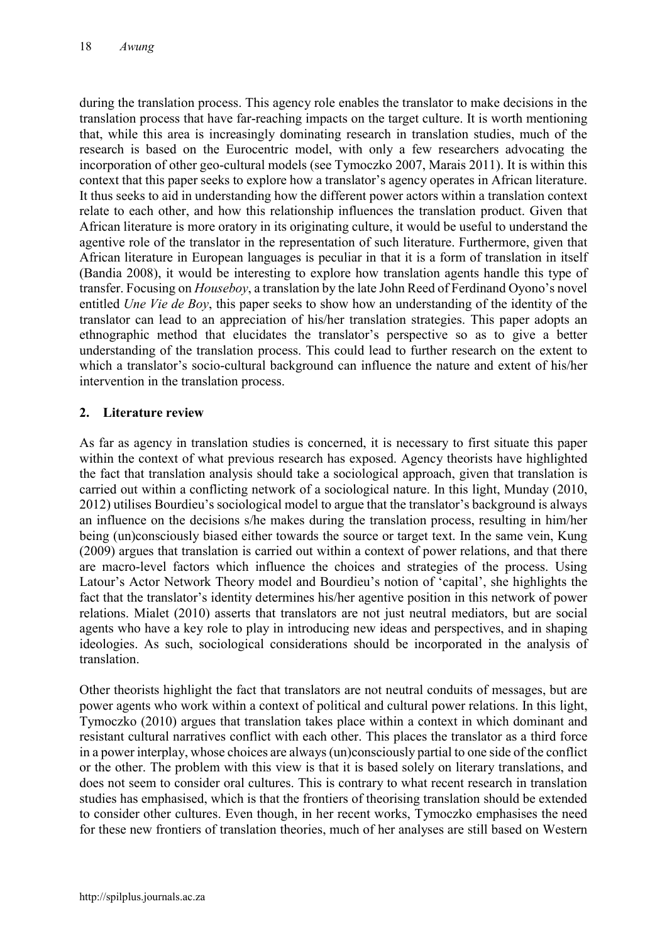during the translation process. This agency role enables the translator to make decisions in the translation process that have far-reaching impacts on the target culture. It is worth mentioning that, while this area is increasingly dominating research in translation studies, much of the research is based on the Eurocentric model, with only a few researchers advocating the incorporation of other geo-cultural models (see Tymoczko 2007, Marais 2011). It is within this context that this paper seeks to explore how a translator's agency operates in African literature. It thus seeks to aid in understanding how the different power actors within a translation context relate to each other, and how this relationship influences the translation product. Given that African literature is more oratory in its originating culture, it would be useful to understand the agentive role of the translator in the representation of such literature. Furthermore, given that African literature in European languages is peculiar in that it is a form of translation in itself (Bandia 2008), it would be interesting to explore how translation agents handle this type of transfer. Focusing on *Houseboy*, a translation by the late John Reed of Ferdinand Oyono's novel entitled *Une Vie de Boy*, this paper seeks to show how an understanding of the identity of the translator can lead to an appreciation of his/her translation strategies. This paper adopts an ethnographic method that elucidates the translator's perspective so as to give a better understanding of the translation process. This could lead to further research on the extent to which a translator's socio-cultural background can influence the nature and extent of his/her intervention in the translation process.

## 2. Literature review

As far as agency in translation studies is concerned, it is necessary to first situate this paper within the context of what previous research has exposed. Agency theorists have highlighted the fact that translation analysis should take a sociological approach, given that translation is carried out within a conflicting network of a sociological nature. In this light, Munday (2010, 2012) utilises Bourdieu's sociological model to argue that the translator's background is always an influence on the decisions s/he makes during the translation process, resulting in him/her being (un)consciously biased either towards the source or target text. In the same vein, Kung (2009) argues that translation is carried out within a context of power relations, and that there are macro-level factors which influence the choices and strategies of the process. Using Latour's Actor Network Theory model and Bourdieu's notion of 'capital', she highlights the fact that the translator's identity determines his/her agentive position in this network of power relations. Mialet (2010) asserts that translators are not just neutral mediators, but are social agents who have a key role to play in introducing new ideas and perspectives, and in shaping ideologies. As such, sociological considerations should be incorporated in the analysis of translation.

Other theorists highlight the fact that translators are not neutral conduits of messages, but are power agents who work within a context of political and cultural power relations. In this light, Tymoczko (2010) argues that translation takes place within a context in which dominant and resistant cultural narratives conflict with each other. This places the translator as a third force in a power interplay, whose choices are always (un)consciously partial to one side of the conflict or the other. The problem with this view is that it is based solely on literary translations, and does not seem to consider oral cultures. This is contrary to what recent research in translation studies has emphasised, which is that the frontiers of theorising translation should be extended to consider other cultures. Even though, in her recent works, Tymoczko emphasises the need for these new frontiers of translation theories, much of her analyses are still based on Western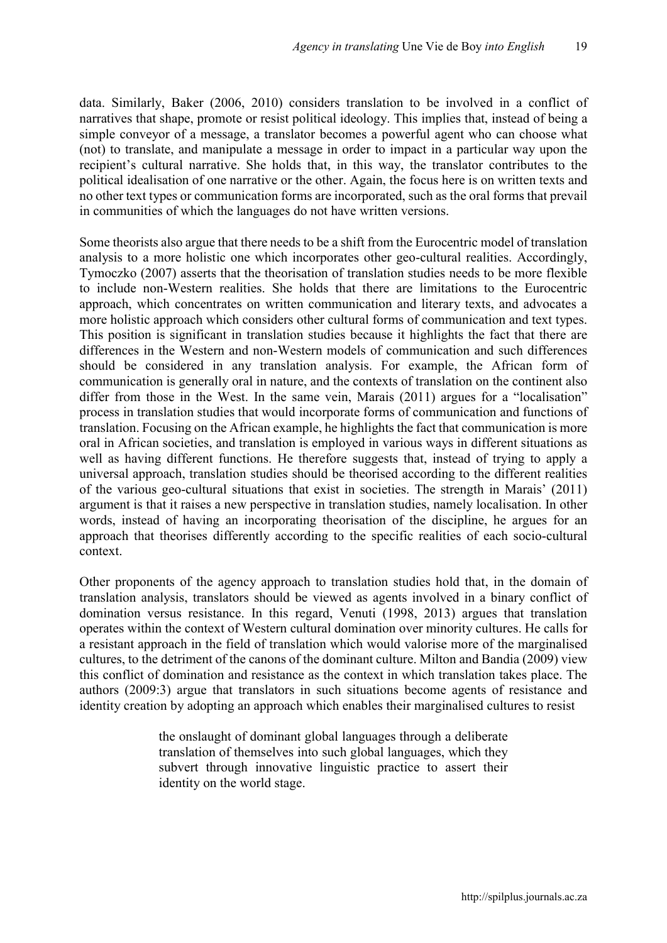data. Similarly, Baker (2006, 2010) considers translation to be involved in a conflict of narratives that shape, promote or resist political ideology. This implies that, instead of being a simple conveyor of a message, a translator becomes a powerful agent who can choose what (not) to translate, and manipulate a message in order to impact in a particular way upon the recipient's cultural narrative. She holds that, in this way, the translator contributes to the political idealisation of one narrative or the other. Again, the focus here is on written texts and no other text types or communication forms are incorporated, such as the oral forms that prevail in communities of which the languages do not have written versions.

Some theorists also argue that there needs to be a shift from the Eurocentric model of translation analysis to a more holistic one which incorporates other geo-cultural realities. Accordingly, Tymoczko (2007) asserts that the theorisation of translation studies needs to be more flexible to include non-Western realities. She holds that there are limitations to the Eurocentric approach, which concentrates on written communication and literary texts, and advocates a more holistic approach which considers other cultural forms of communication and text types. This position is significant in translation studies because it highlights the fact that there are differences in the Western and non-Western models of communication and such differences should be considered in any translation analysis. For example, the African form of communication is generally oral in nature, and the contexts of translation on the continent also differ from those in the West. In the same vein, Marais (2011) argues for a "localisation" process in translation studies that would incorporate forms of communication and functions of translation. Focusing on the African example, he highlights the fact that communication is more oral in African societies, and translation is employed in various ways in different situations as well as having different functions. He therefore suggests that, instead of trying to apply a universal approach, translation studies should be theorised according to the different realities of the various geo-cultural situations that exist in societies. The strength in Marais' (2011) argument is that it raises a new perspective in translation studies, namely localisation. In other words, instead of having an incorporating theorisation of the discipline, he argues for an approach that theorises differently according to the specific realities of each socio-cultural context.

Other proponents of the agency approach to translation studies hold that, in the domain of translation analysis, translators should be viewed as agents involved in a binary conflict of domination versus resistance. In this regard, Venuti (1998, 2013) argues that translation operates within the context of Western cultural domination over minority cultures. He calls for a resistant approach in the field of translation which would valorise more of the marginalised cultures, to the detriment of the canons of the dominant culture. Milton and Bandia (2009) view this conflict of domination and resistance as the context in which translation takes place. The authors (2009:3) argue that translators in such situations become agents of resistance and identity creation by adopting an approach which enables their marginalised cultures to resist

> the onslaught of dominant global languages through a deliberate translation of themselves into such global languages, which they subvert through innovative linguistic practice to assert their identity on the world stage.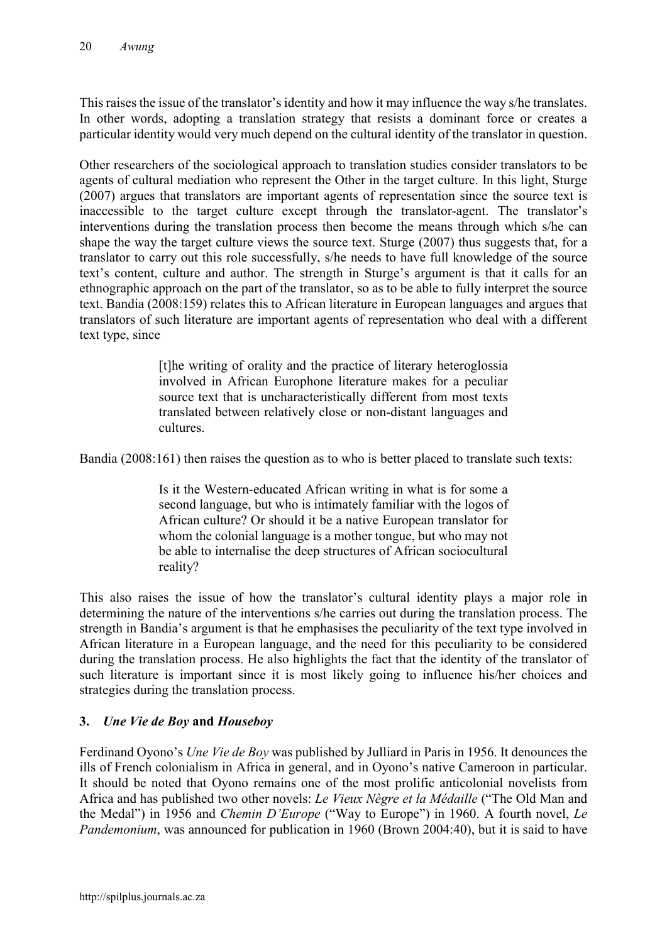This raises the issue of the translator's identity and how it may influence the way s/he translates. In other words, adopting a translation strategy that resists a dominant force or creates a particular identity would very much depend on the cultural identity of the translator in question.

Other researchers of the sociological approach to translation studies consider translators to be agents of cultural mediation who represent the Other in the target culture. In this light, Sturge (2007) argues that translators are important agents of representation since the source text is inaccessible to the target culture except through the translator-agent. The translator's interventions during the translation process then become the means through which s/he can shape the way the target culture views the source text. Sturge (2007) thus suggests that, for a translator to carry out this role successfully, s/he needs to have full knowledge of the source text's content, culture and author. The strength in Sturge's argument is that it calls for an ethnographic approach on the part of the translator, so as to be able to fully interpret the source text. Bandia (2008:159) relates this to African literature in European languages and argues that translators of such literature are important agents of representation who deal with a different text type, since

> [t]he writing of orality and the practice of literary heteroglossia involved in African Europhone literature makes for a peculiar source text that is uncharacteristically different from most texts translated between relatively close or non-distant languages and cultures.

Bandia (2008:161) then raises the question as to who is better placed to translate such texts:

Is it the Western-educated African writing in what is for some a second language, but who is intimately familiar with the logos of African culture? Or should it be a native European translator for whom the colonial language is a mother tongue, but who may not be able to internalise the deep structures of African sociocultural reality?

This also raises the issue of how the translator's cultural identity plays a major role in determining the nature of the interventions s/he carries out during the translation process. The strength in Bandia's argument is that he emphasises the peculiarity of the text type involved in African literature in a European language, and the need for this peculiarity to be considered during the translation process. He also highlights the fact that the identity of the translator of such literature is important since it is most likely going to influence his/her choices and strategies during the translation process.

## 3. *Une Vie de Boy* and *Houseboy*

Ferdinand Oyono's *Une Vie de Boy* was published by Julliard in Paris in 1956. It denounces the ills of French colonialism in Africa in general, and in Oyono's native Cameroon in particular. It should be noted that Oyono remains one of the most prolific anticolonial novelists from Africa and has published two other novels: *Le Vieux Nègre et la Médaille* ("The Old Man and the Medal") in 1956 and *Chemin D'Europe* ("Way to Europe") in 1960. A fourth novel, *Le Pandemonium*, was announced for publication in 1960 (Brown 2004:40), but it is said to have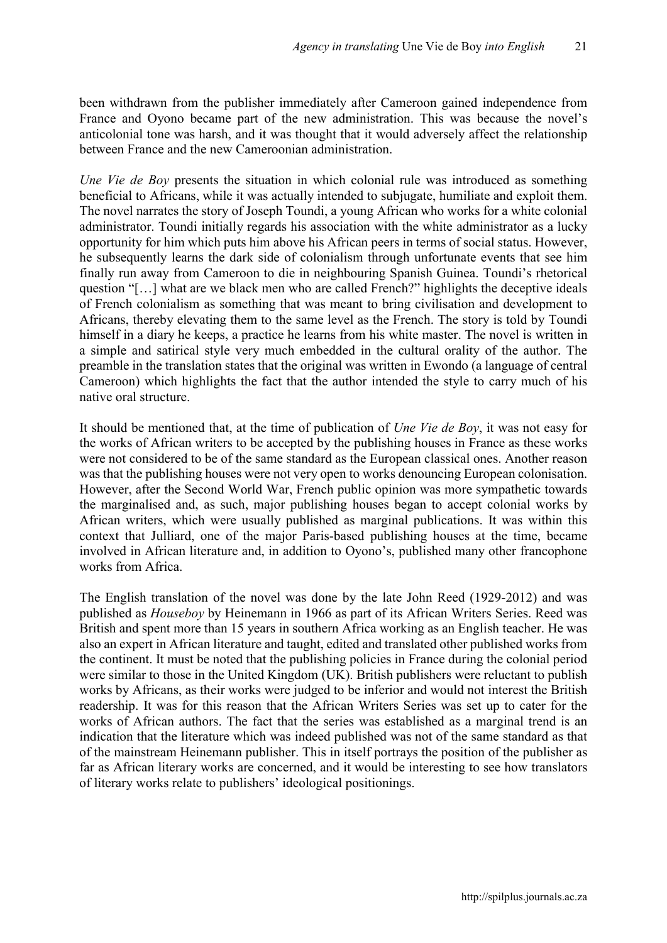been withdrawn from the publisher immediately after Cameroon gained independence from France and Oyono became part of the new administration. This was because the novel's anticolonial tone was harsh, and it was thought that it would adversely affect the relationship between France and the new Cameroonian administration.

*Une Vie de Boy* presents the situation in which colonial rule was introduced as something beneficial to Africans, while it was actually intended to subjugate, humiliate and exploit them. The novel narrates the story of Joseph Toundi, a young African who works for a white colonial administrator. Toundi initially regards his association with the white administrator as a lucky opportunity for him which puts him above his African peers in terms of social status. However, he subsequently learns the dark side of colonialism through unfortunate events that see him finally run away from Cameroon to die in neighbouring Spanish Guinea. Toundi's rhetorical question "[…] what are we black men who are called French?" highlights the deceptive ideals of French colonialism as something that was meant to bring civilisation and development to Africans, thereby elevating them to the same level as the French. The story is told by Toundi himself in a diary he keeps, a practice he learns from his white master. The novel is written in a simple and satirical style very much embedded in the cultural orality of the author. The preamble in the translation states that the original was written in Ewondo (a language of central Cameroon) which highlights the fact that the author intended the style to carry much of his native oral structure.

It should be mentioned that, at the time of publication of *Une Vie de Boy*, it was not easy for the works of African writers to be accepted by the publishing houses in France as these works were not considered to be of the same standard as the European classical ones. Another reason was that the publishing houses were not very open to works denouncing European colonisation. However, after the Second World War, French public opinion was more sympathetic towards the marginalised and, as such, major publishing houses began to accept colonial works by African writers, which were usually published as marginal publications. It was within this context that Julliard, one of the major Paris-based publishing houses at the time, became involved in African literature and, in addition to Oyono's, published many other francophone works from Africa.

The English translation of the novel was done by the late John Reed (1929-2012) and was published as *Houseboy* by Heinemann in 1966 as part of its African Writers Series. Reed was British and spent more than 15 years in southern Africa working as an English teacher. He was also an expert in African literature and taught, edited and translated other published works from the continent. It must be noted that the publishing policies in France during the colonial period were similar to those in the United Kingdom (UK). British publishers were reluctant to publish works by Africans, as their works were judged to be inferior and would not interest the British readership. It was for this reason that the African Writers Series was set up to cater for the works of African authors. The fact that the series was established as a marginal trend is an indication that the literature which was indeed published was not of the same standard as that of the mainstream Heinemann publisher. This in itself portrays the position of the publisher as far as African literary works are concerned, and it would be interesting to see how translators of literary works relate to publishers' ideological positionings.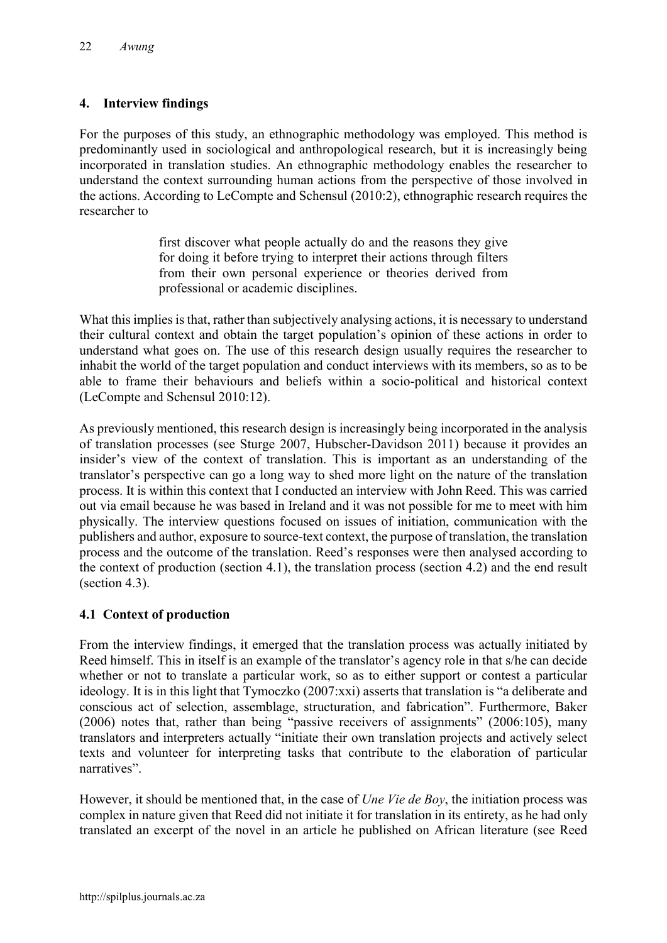## 4. Interview findings

For the purposes of this study, an ethnographic methodology was employed. This method is predominantly used in sociological and anthropological research, but it is increasingly being incorporated in translation studies. An ethnographic methodology enables the researcher to understand the context surrounding human actions from the perspective of those involved in the actions. According to LeCompte and Schensul (2010:2), ethnographic research requires the researcher to

> first discover what people actually do and the reasons they give for doing it before trying to interpret their actions through filters from their own personal experience or theories derived from professional or academic disciplines.

What this implies is that, rather than subjectively analysing actions, it is necessary to understand their cultural context and obtain the target population's opinion of these actions in order to understand what goes on. The use of this research design usually requires the researcher to inhabit the world of the target population and conduct interviews with its members, so as to be able to frame their behaviours and beliefs within a socio-political and historical context (LeCompte and Schensul 2010:12).

As previously mentioned, this research design is increasingly being incorporated in the analysis of translation processes (see Sturge 2007, Hubscher-Davidson 2011) because it provides an insider's view of the context of translation. This is important as an understanding of the translator's perspective can go a long way to shed more light on the nature of the translation process. It is within this context that I conducted an interview with John Reed. This was carried out via email because he was based in Ireland and it was not possible for me to meet with him physically. The interview questions focused on issues of initiation, communication with the publishers and author, exposure to source-text context, the purpose of translation, the translation process and the outcome of the translation. Reed's responses were then analysed according to the context of production (section 4.1), the translation process (section 4.2) and the end result (section 4.3).

## 4.1 Context of production

From the interview findings, it emerged that the translation process was actually initiated by Reed himself. This in itself is an example of the translator's agency role in that s/he can decide whether or not to translate a particular work, so as to either support or contest a particular ideology. It is in this light that Tymoczko (2007:xxi) asserts that translation is "a deliberate and conscious act of selection, assemblage, structuration, and fabrication". Furthermore, Baker (2006) notes that, rather than being "passive receivers of assignments" (2006:105), many translators and interpreters actually "initiate their own translation projects and actively select texts and volunteer for interpreting tasks that contribute to the elaboration of particular narratives".

However, it should be mentioned that, in the case of *Une Vie de Boy*, the initiation process was complex in nature given that Reed did not initiate it for translation in its entirety, as he had only translated an excerpt of the novel in an article he published on African literature (see Reed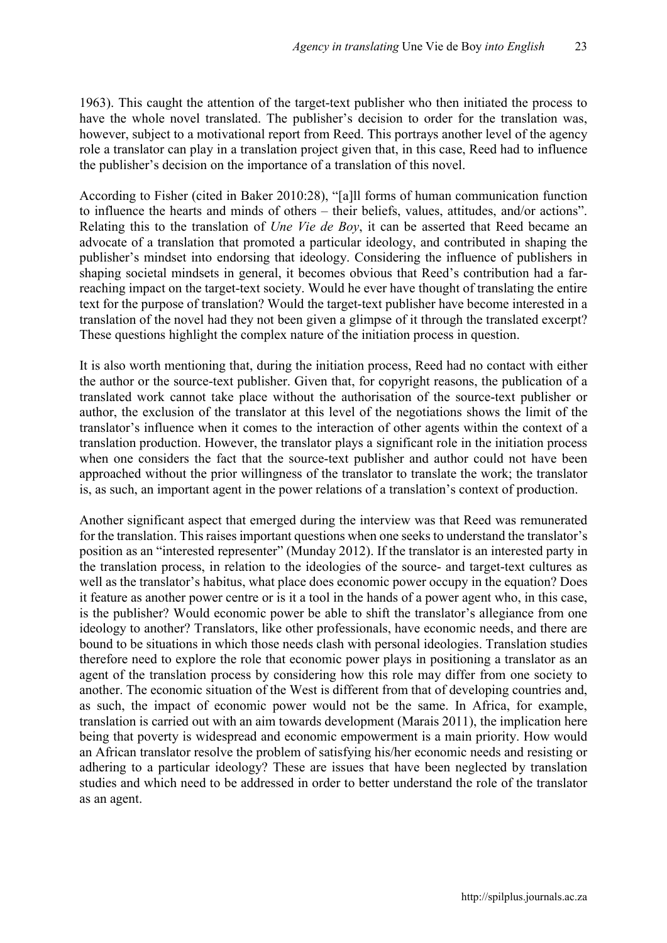1963). This caught the attention of the target-text publisher who then initiated the process to have the whole novel translated. The publisher's decision to order for the translation was, however, subject to a motivational report from Reed. This portrays another level of the agency role a translator can play in a translation project given that, in this case, Reed had to influence the publisher's decision on the importance of a translation of this novel.

According to Fisher (cited in Baker 2010:28), "[a]ll forms of human communication function to influence the hearts and minds of others – their beliefs, values, attitudes, and/or actions". Relating this to the translation of *Une Vie de Boy*, it can be asserted that Reed became an advocate of a translation that promoted a particular ideology, and contributed in shaping the publisher's mindset into endorsing that ideology. Considering the influence of publishers in shaping societal mindsets in general, it becomes obvious that Reed's contribution had a farreaching impact on the target-text society. Would he ever have thought of translating the entire text for the purpose of translation? Would the target-text publisher have become interested in a translation of the novel had they not been given a glimpse of it through the translated excerpt? These questions highlight the complex nature of the initiation process in question.

It is also worth mentioning that, during the initiation process, Reed had no contact with either the author or the source-text publisher. Given that, for copyright reasons, the publication of a translated work cannot take place without the authorisation of the source-text publisher or author, the exclusion of the translator at this level of the negotiations shows the limit of the translator's influence when it comes to the interaction of other agents within the context of a translation production. However, the translator plays a significant role in the initiation process when one considers the fact that the source-text publisher and author could not have been approached without the prior willingness of the translator to translate the work; the translator is, as such, an important agent in the power relations of a translation's context of production.

Another significant aspect that emerged during the interview was that Reed was remunerated for the translation. This raises important questions when one seeks to understand the translator's position as an "interested representer" (Munday 2012). If the translator is an interested party in the translation process, in relation to the ideologies of the source- and target-text cultures as well as the translator's habitus, what place does economic power occupy in the equation? Does it feature as another power centre or is it a tool in the hands of a power agent who, in this case, is the publisher? Would economic power be able to shift the translator's allegiance from one ideology to another? Translators, like other professionals, have economic needs, and there are bound to be situations in which those needs clash with personal ideologies. Translation studies therefore need to explore the role that economic power plays in positioning a translator as an agent of the translation process by considering how this role may differ from one society to another. The economic situation of the West is different from that of developing countries and, as such, the impact of economic power would not be the same. In Africa, for example, translation is carried out with an aim towards development (Marais 2011), the implication here being that poverty is widespread and economic empowerment is a main priority. How would an African translator resolve the problem of satisfying his/her economic needs and resisting or adhering to a particular ideology? These are issues that have been neglected by translation studies and which need to be addressed in order to better understand the role of the translator as an agent.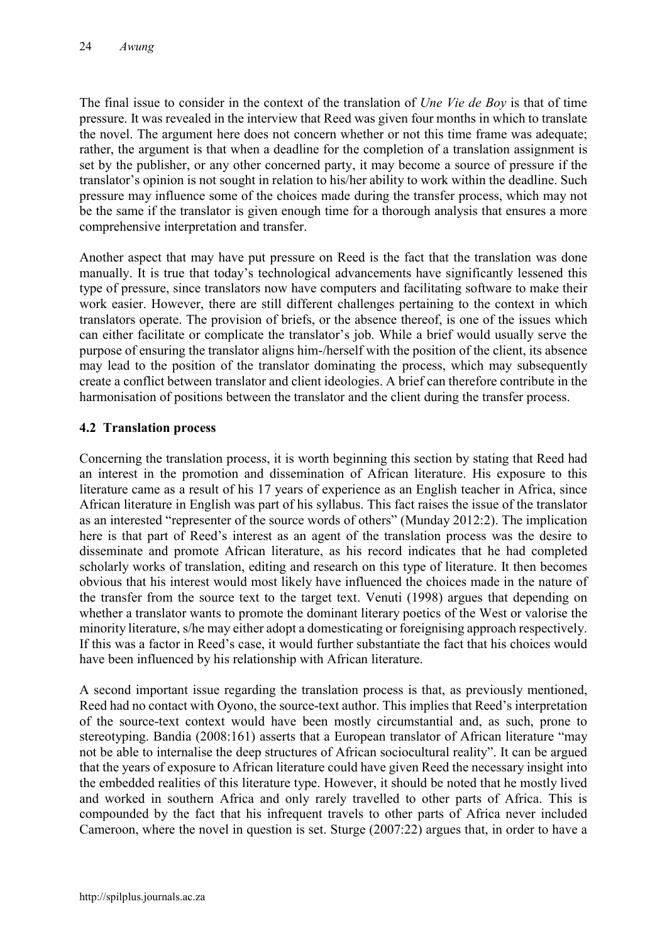The final issue to consider in the context of the translation of *Une Vie de Boy* is that of time pressure. It was revealed in the interview that Reed was given four months in which to translate the novel. The argument here does not concern whether or not this time frame was adequate; rather, the argument is that when a deadline for the completion of a translation assignment is set by the publisher, or any other concerned party, it may become a source of pressure if the translator's opinion is not sought in relation to his/her ability to work within the deadline. Such pressure may influence some of the choices made during the transfer process, which may not be the same if the translator is given enough time for a thorough analysis that ensures a more comprehensive interpretation and transfer.

Another aspect that may have put pressure on Reed is the fact that the translation was done manually. It is true that today's technological advancements have significantly lessened this type of pressure, since translators now have computers and facilitating software to make their work easier. However, there are still different challenges pertaining to the context in which translators operate. The provision of briefs, or the absence thereof, is one of the issues which can either facilitate or complicate the translator's job. While a brief would usually serve the purpose of ensuring the translator aligns him-/herself with the position of the client, its absence may lead to the position of the translator dominating the process, which may subsequently create a conflict between translator and client ideologies. A brief can therefore contribute in the harmonisation of positions between the translator and the client during the transfer process.

## 4.2 Translation process

Concerning the translation process, it is worth beginning this section by stating that Reed had an interest in the promotion and dissemination of African literature. His exposure to this literature came as a result of his 17 years of experience as an English teacher in Africa, since African literature in English was part of his syllabus. This fact raises the issue of the translator as an interested "representer of the source words of others" (Munday 2012:2). The implication here is that part of Reed's interest as an agent of the translation process was the desire to disseminate and promote African literature, as his record indicates that he had completed scholarly works of translation, editing and research on this type of literature. It then becomes obvious that his interest would most likely have influenced the choices made in the nature of the transfer from the source text to the target text. Venuti (1998) argues that depending on whether a translator wants to promote the dominant literary poetics of the West or valorise the minority literature, s/he may either adopt a domesticating or foreignising approach respectively. If this was a factor in Reed's case, it would further substantiate the fact that his choices would have been influenced by his relationship with African literature.

A second important issue regarding the translation process is that, as previously mentioned, Reed had no contact with Oyono, the source-text author. This implies that Reed's interpretation of the source-text context would have been mostly circumstantial and, as such, prone to stereotyping. Bandia (2008:161) asserts that a European translator of African literature "may not be able to internalise the deep structures of African sociocultural reality". It can be argued that the years of exposure to African literature could have given Reed the necessary insight into the embedded realities of this literature type. However, it should be noted that he mostly lived and worked in southern Africa and only rarely travelled to other parts of Africa. This is compounded by the fact that his infrequent travels to other parts of Africa never included Cameroon, where the novel in question is set. Sturge (2007:22) argues that, in order to have a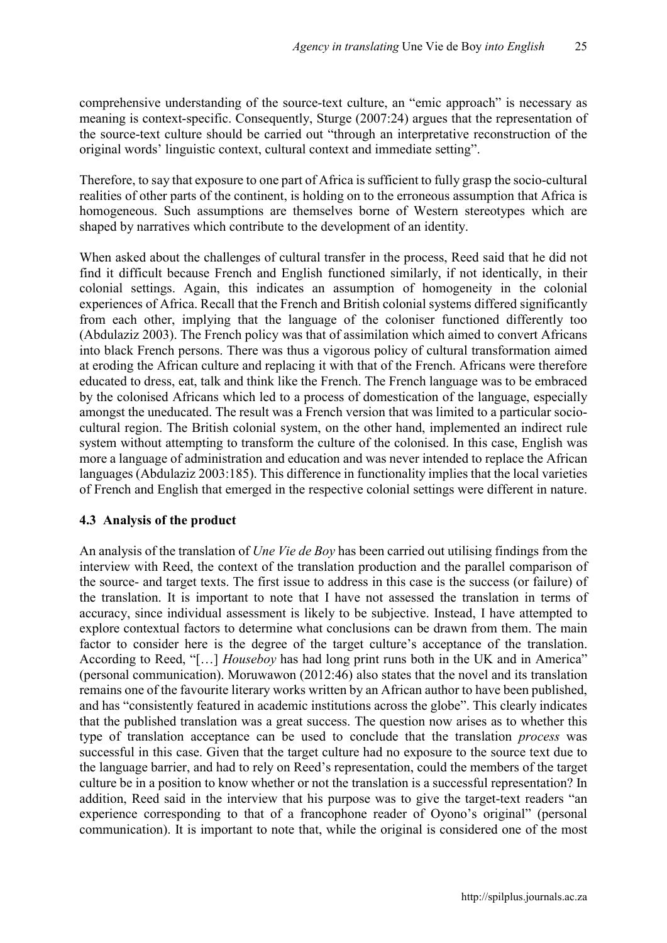comprehensive understanding of the source-text culture, an "emic approach" is necessary as meaning is context-specific. Consequently, Sturge (2007:24) argues that the representation of the source-text culture should be carried out "through an interpretative reconstruction of the original words' linguistic context, cultural context and immediate setting".

Therefore, to say that exposure to one part of Africa is sufficient to fully grasp the socio-cultural realities of other parts of the continent, is holding on to the erroneous assumption that Africa is homogeneous. Such assumptions are themselves borne of Western stereotypes which are shaped by narratives which contribute to the development of an identity.

When asked about the challenges of cultural transfer in the process, Reed said that he did not find it difficult because French and English functioned similarly, if not identically, in their colonial settings. Again, this indicates an assumption of homogeneity in the colonial experiences of Africa. Recall that the French and British colonial systems differed significantly from each other, implying that the language of the coloniser functioned differently too (Abdulaziz 2003). The French policy was that of assimilation which aimed to convert Africans into black French persons. There was thus a vigorous policy of cultural transformation aimed at eroding the African culture and replacing it with that of the French. Africans were therefore educated to dress, eat, talk and think like the French. The French language was to be embraced by the colonised Africans which led to a process of domestication of the language, especially amongst the uneducated. The result was a French version that was limited to a particular sociocultural region. The British colonial system, on the other hand, implemented an indirect rule system without attempting to transform the culture of the colonised. In this case, English was more a language of administration and education and was never intended to replace the African languages (Abdulaziz 2003:185). This difference in functionality implies that the local varieties of French and English that emerged in the respective colonial settings were different in nature.

## 4.3 Analysis of the product

An analysis of the translation of *Une Vie de Boy* has been carried out utilising findings from the interview with Reed, the context of the translation production and the parallel comparison of the source- and target texts. The first issue to address in this case is the success (or failure) of the translation. It is important to note that I have not assessed the translation in terms of accuracy, since individual assessment is likely to be subjective. Instead, I have attempted to explore contextual factors to determine what conclusions can be drawn from them. The main factor to consider here is the degree of the target culture's acceptance of the translation. According to Reed, "[…] *Houseboy* has had long print runs both in the UK and in America" (personal communication). Moruwawon (2012:46) also states that the novel and its translation remains one of the favourite literary works written by an African author to have been published, and has "consistently featured in academic institutions across the globe". This clearly indicates that the published translation was a great success. The question now arises as to whether this type of translation acceptance can be used to conclude that the translation *process* was successful in this case. Given that the target culture had no exposure to the source text due to the language barrier, and had to rely on Reed's representation, could the members of the target culture be in a position to know whether or not the translation is a successful representation? In addition, Reed said in the interview that his purpose was to give the target-text readers "an experience corresponding to that of a francophone reader of Oyono's original" (personal communication). It is important to note that, while the original is considered one of the most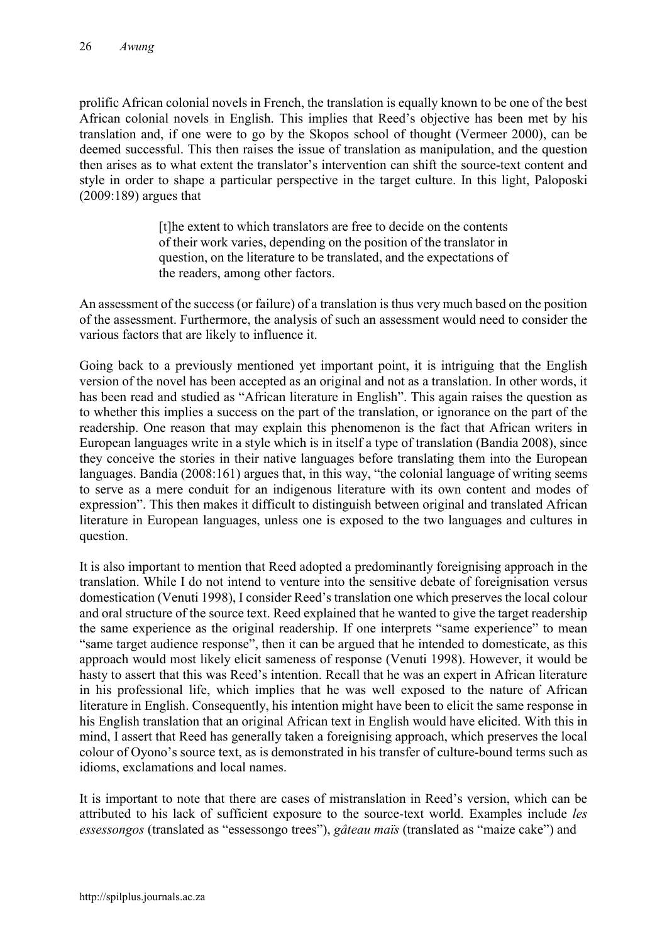prolific African colonial novels in French, the translation is equally known to be one of the best African colonial novels in English. This implies that Reed's objective has been met by his translation and, if one were to go by the Skopos school of thought (Vermeer 2000), can be deemed successful. This then raises the issue of translation as manipulation, and the question then arises as to what extent the translator's intervention can shift the source-text content and style in order to shape a particular perspective in the target culture. In this light, Paloposki (2009:189) argues that

> [t]he extent to which translators are free to decide on the contents of their work varies, depending on the position of the translator in question, on the literature to be translated, and the expectations of the readers, among other factors.

An assessment of the success (or failure) of a translation is thus very much based on the position of the assessment. Furthermore, the analysis of such an assessment would need to consider the various factors that are likely to influence it.

Going back to a previously mentioned yet important point, it is intriguing that the English version of the novel has been accepted as an original and not as a translation. In other words, it has been read and studied as "African literature in English". This again raises the question as to whether this implies a success on the part of the translation, or ignorance on the part of the readership. One reason that may explain this phenomenon is the fact that African writers in European languages write in a style which is in itself a type of translation (Bandia 2008), since they conceive the stories in their native languages before translating them into the European languages. Bandia (2008:161) argues that, in this way, "the colonial language of writing seems to serve as a mere conduit for an indigenous literature with its own content and modes of expression". This then makes it difficult to distinguish between original and translated African literature in European languages, unless one is exposed to the two languages and cultures in question.

It is also important to mention that Reed adopted a predominantly foreignising approach in the translation. While I do not intend to venture into the sensitive debate of foreignisation versus domestication (Venuti 1998), I consider Reed's translation one which preserves the local colour and oral structure of the source text. Reed explained that he wanted to give the target readership the same experience as the original readership. If one interprets "same experience" to mean "same target audience response", then it can be argued that he intended to domesticate, as this approach would most likely elicit sameness of response (Venuti 1998). However, it would be hasty to assert that this was Reed's intention. Recall that he was an expert in African literature in his professional life, which implies that he was well exposed to the nature of African literature in English. Consequently, his intention might have been to elicit the same response in his English translation that an original African text in English would have elicited. With this in mind, I assert that Reed has generally taken a foreignising approach, which preserves the local colour of Oyono's source text, as is demonstrated in his transfer of culture-bound terms such as idioms, exclamations and local names.

It is important to note that there are cases of mistranslation in Reed's version, which can be attributed to his lack of sufficient exposure to the source-text world. Examples include *les essessongos* (translated as "essessongo trees"), *gâteau maïs* (translated as "maize cake") and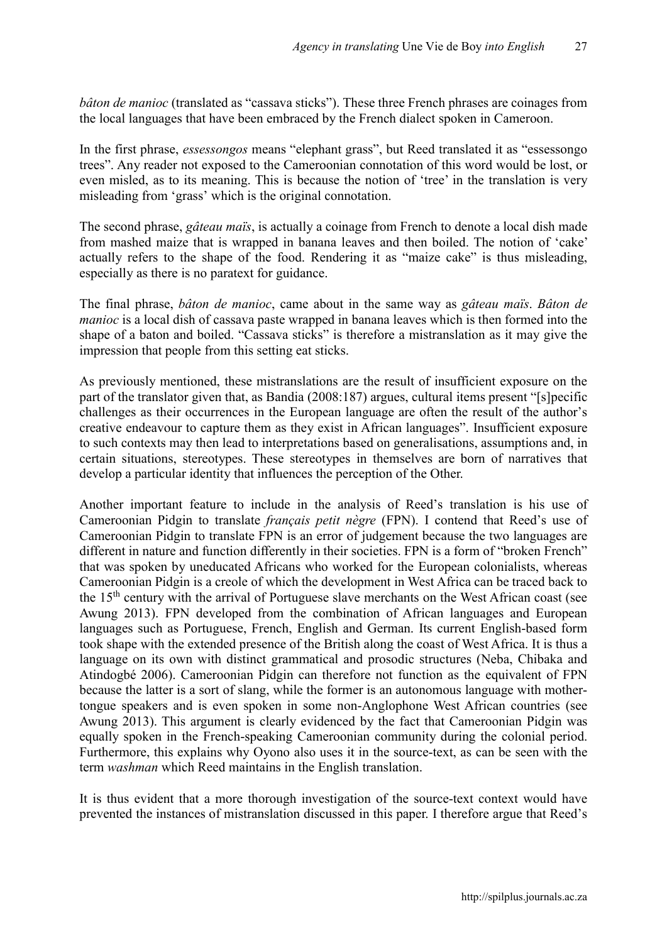*bâton de manioc* (translated as "cassava sticks"). These three French phrases are coinages from the local languages that have been embraced by the French dialect spoken in Cameroon.

In the first phrase, *essessongos* means "elephant grass", but Reed translated it as "essessongo trees". Any reader not exposed to the Cameroonian connotation of this word would be lost, or even misled, as to its meaning. This is because the notion of 'tree' in the translation is very misleading from 'grass' which is the original connotation.

The second phrase, *gâteau maïs*, is actually a coinage from French to denote a local dish made from mashed maize that is wrapped in banana leaves and then boiled. The notion of 'cake' actually refers to the shape of the food. Rendering it as "maize cake" is thus misleading, especially as there is no paratext for guidance.

The final phrase, *bâton de manioc*, came about in the same way as *gâteau maïs*. *Bâton de manioc* is a local dish of cassava paste wrapped in banana leaves which is then formed into the shape of a baton and boiled. "Cassava sticks" is therefore a mistranslation as it may give the impression that people from this setting eat sticks.

As previously mentioned, these mistranslations are the result of insufficient exposure on the part of the translator given that, as Bandia (2008:187) argues, cultural items present "[s]pecific challenges as their occurrences in the European language are often the result of the author's creative endeavour to capture them as they exist in African languages". Insufficient exposure to such contexts may then lead to interpretations based on generalisations, assumptions and, in certain situations, stereotypes. These stereotypes in themselves are born of narratives that develop a particular identity that influences the perception of the Other.

Another important feature to include in the analysis of Reed's translation is his use of Cameroonian Pidgin to translate *français petit nègre* (FPN). I contend that Reed's use of Cameroonian Pidgin to translate FPN is an error of judgement because the two languages are different in nature and function differently in their societies. FPN is a form of "broken French" that was spoken by uneducated Africans who worked for the European colonialists, whereas Cameroonian Pidgin is a creole of which the development in West Africa can be traced back to the 15<sup>th</sup> century with the arrival of Portuguese slave merchants on the West African coast (see Awung 2013). FPN developed from the combination of African languages and European languages such as Portuguese, French, English and German. Its current English-based form took shape with the extended presence of the British along the coast of West Africa. It is thus a language on its own with distinct grammatical and prosodic structures (Neba, Chibaka and Atindogbé 2006). Cameroonian Pidgin can therefore not function as the equivalent of FPN because the latter is a sort of slang, while the former is an autonomous language with mothertongue speakers and is even spoken in some non-Anglophone West African countries (see Awung 2013). This argument is clearly evidenced by the fact that Cameroonian Pidgin was equally spoken in the French-speaking Cameroonian community during the colonial period. Furthermore, this explains why Oyono also uses it in the source-text, as can be seen with the term *washman* which Reed maintains in the English translation.

It is thus evident that a more thorough investigation of the source-text context would have prevented the instances of mistranslation discussed in this paper. I therefore argue that Reed's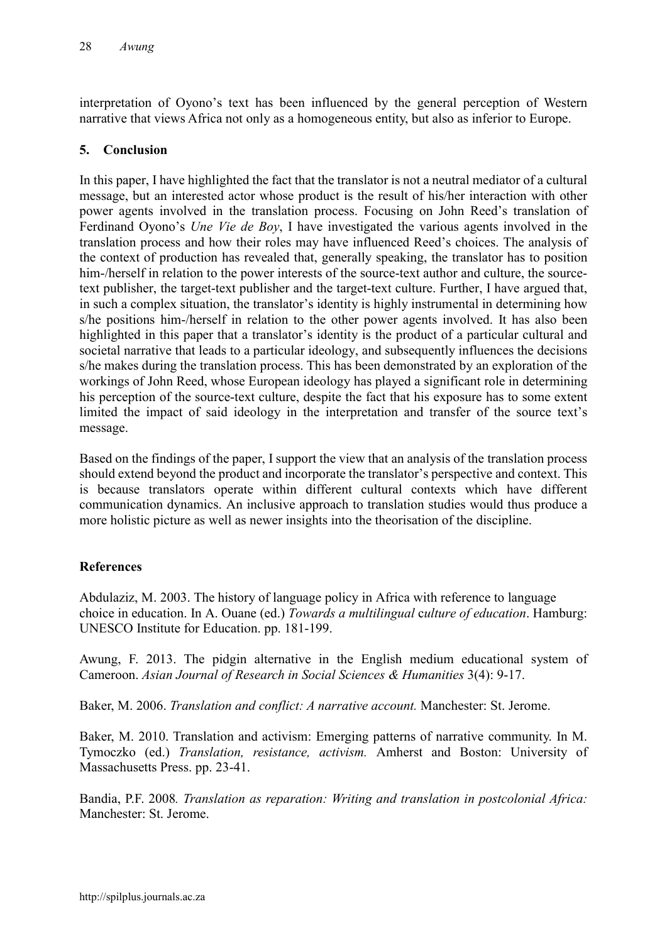interpretation of Oyono's text has been influenced by the general perception of Western narrative that views Africa not only as a homogeneous entity, but also as inferior to Europe.

## 5. Conclusion

In this paper, I have highlighted the fact that the translator is not a neutral mediator of a cultural message, but an interested actor whose product is the result of his/her interaction with other power agents involved in the translation process. Focusing on John Reed's translation of Ferdinand Oyono's *Une Vie de Boy*, I have investigated the various agents involved in the translation process and how their roles may have influenced Reed's choices. The analysis of the context of production has revealed that, generally speaking, the translator has to position him-/herself in relation to the power interests of the source-text author and culture, the sourcetext publisher, the target-text publisher and the target-text culture. Further, I have argued that, in such a complex situation, the translator's identity is highly instrumental in determining how s/he positions him-/herself in relation to the other power agents involved. It has also been highlighted in this paper that a translator's identity is the product of a particular cultural and societal narrative that leads to a particular ideology, and subsequently influences the decisions s/he makes during the translation process. This has been demonstrated by an exploration of the workings of John Reed, whose European ideology has played a significant role in determining his perception of the source-text culture, despite the fact that his exposure has to some extent limited the impact of said ideology in the interpretation and transfer of the source text's message.

Based on the findings of the paper, I support the view that an analysis of the translation process should extend beyond the product and incorporate the translator's perspective and context. This is because translators operate within different cultural contexts which have different communication dynamics. An inclusive approach to translation studies would thus produce a more holistic picture as well as newer insights into the theorisation of the discipline.

## References

Abdulaziz, M. 2003. The history of language policy in Africa with reference to language choice in education. In A. Ouane (ed.) *Towards a multilingual* c*ulture of education*. Hamburg: UNESCO Institute for Education. pp. 181-199.

Awung, F. 2013. The pidgin alternative in the English medium educational system of Cameroon. *Asian Journal of Research in Social Sciences & Humanities* 3(4): 9-17.

Baker, M. 2006. *Translation and conflict: A narrative account.* Manchester: St. Jerome.

Baker, M. 2010. Translation and activism: Emerging patterns of narrative community. In M. Tymoczko (ed.) *Translation, resistance, activism.* Amherst and Boston: University of Massachusetts Press. pp. 23-41.

Bandia, P.F. 2008*. Translation as reparation: Writing and translation in postcolonial Africa:* Manchester: St. Jerome.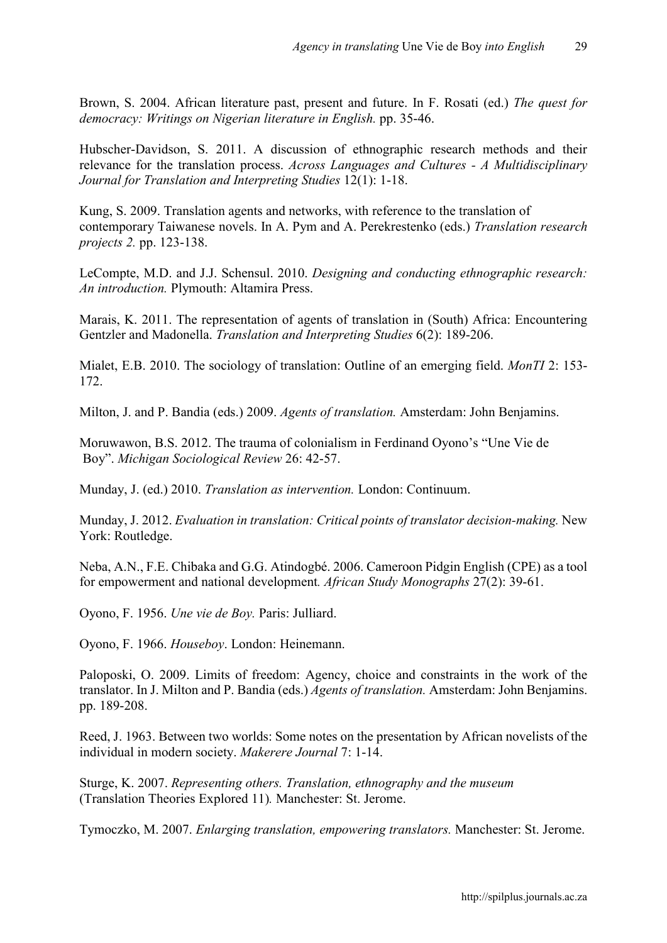Brown, S. 2004. African literature past, present and future. In F. Rosati (ed.) *The quest for democracy: Writings on Nigerian literature in English.* pp. 35-46.

Hubscher-Davidson, S. 2011. A discussion of ethnographic research methods and their relevance for the translation process. *Across Languages and Cultures - A Multidisciplinary Journal for Translation and Interpreting Studies* 12(1): 1-18.

Kung, S. 2009. Translation agents and networks, with reference to the translation of contemporary Taiwanese novels. In A. Pym and A. Perekrestenko (eds.) *Translation research projects 2.* pp. 123-138.

LeCompte, M.D. and J.J. Schensul. 2010. *Designing and conducting ethnographic research: An introduction.* Plymouth: Altamira Press.

Marais, K. 2011. The representation of agents of translation in (South) Africa: Encountering Gentzler and Madonella. *Translation and Interpreting Studies* 6(2): 189-206.

Mialet, E.B. 2010. The sociology of translation: Outline of an emerging field. *MonTI* 2: 153- 172.

Milton, J. and P. Bandia (eds.) 2009. *Agents of translation.* Amsterdam: John Benjamins.

Moruwawon, B.S. 2012. The trauma of colonialism in Ferdinand Oyono's "Une Vie de Boy". *Michigan Sociological Review* 26: 42-57.

Munday, J. (ed.) 2010. *Translation as intervention.* London: Continuum.

Munday, J. 2012. *Evaluation in translation: Critical points of translator decision-making.* New York: Routledge.

Neba, A.N., F.E. Chibaka and G.G. Atindogbé. 2006. Cameroon Pidgin English (CPE) as a tool for empowerment and national development*. African Study Monographs* 27(2): 39-61.

Oyono, F. 1956. *Une vie de Boy.* Paris: Julliard.

Oyono, F. 1966. *Houseboy*. London: Heinemann.

Paloposki, O. 2009. Limits of freedom: Agency, choice and constraints in the work of the translator. In J. Milton and P. Bandia (eds.) *Agents of translation.* Amsterdam: John Benjamins. pp. 189-208.

Reed, J. 1963. Between two worlds: Some notes on the presentation by African novelists of the individual in modern society. *Makerere Journal* 7: 1-14.

Sturge, K. 2007. *Representing others. Translation, ethnography and the museum*  (Translation Theories Explored 11)*.* Manchester: St. Jerome.

Tymoczko, M. 2007. *Enlarging translation, empowering translators.* Manchester: St. Jerome.